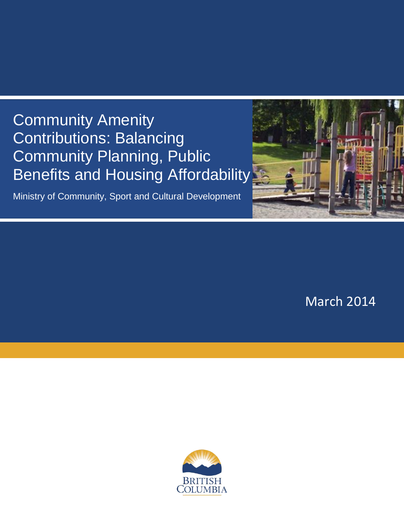# Community Amenity Contributions: Balancing Community Planning, Public Benefits and Housing Affordability

Ministry of Community, Sport and Cultural Development



March 2014

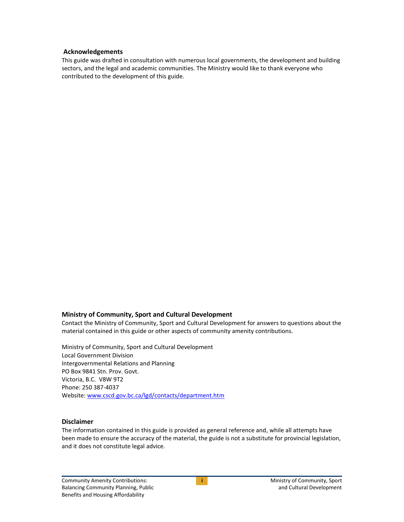#### **Acknowledgements**

This guide was drafted in consultation with numerous local governments, the development and building sectors, and the legal and academic communities. The Ministry would like to thank everyone who contributed to the development of this guide.

#### **Ministry of Community, Sport and Cultural Development**

Contact the Ministry of Community, Sport and Cultural Development for answers to questions about the material contained in this guide or other aspects of community amenity contributions.

Ministry of Community, Sport and Cultural Development Local Government Division Intergovernmental Relations and Planning PO Box 9841 Stn. Prov. Govt. Victoria, B.C. V8W 9T2 Phone: 250 387-4037 Website: [www.cscd.gov.bc.ca/lgd/contacts/department.htm](http://www.cscd.gov.bc.ca/lgd/contacts/department.htm)

#### **Disclaimer**

The information contained in this guide is provided as general reference and, while all attempts have been made to ensure the accuracy of the material, the guide is not a substitute for provincial legislation, and it does not constitute legal advice.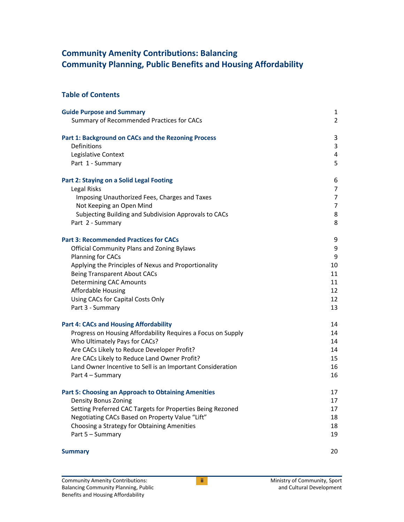# **Community Amenity Contributions: Balancing Community Planning, Public Benefits and Housing Affordability**

## **Table of Contents**

| <b>Guide Purpose and Summary</b>                             | $\mathbf{1}$   |
|--------------------------------------------------------------|----------------|
| Summary of Recommended Practices for CACs                    | $\overline{2}$ |
|                                                              |                |
| Part 1: Background on CACs and the Rezoning Process          | 3              |
| Definitions                                                  | 3              |
| Legislative Context                                          | $\overline{4}$ |
| Part 1 - Summary                                             | 5              |
| <b>Part 2: Staying on a Solid Legal Footing</b>              | 6              |
| Legal Risks                                                  | 7              |
| Imposing Unauthorized Fees, Charges and Taxes                | $\overline{7}$ |
| Not Keeping an Open Mind                                     | $\overline{7}$ |
| Subjecting Building and Subdivision Approvals to CACs        | 8              |
| Part 2 - Summary                                             | 8              |
| <b>Part 3: Recommended Practices for CACs</b>                | 9              |
| <b>Official Community Plans and Zoning Bylaws</b>            | 9              |
| Planning for CACs                                            | 9              |
| Applying the Principles of Nexus and Proportionality         | 10             |
| <b>Being Transparent About CACs</b>                          | 11             |
| <b>Determining CAC Amounts</b>                               | 11             |
| <b>Affordable Housing</b>                                    | 12             |
| Using CACs for Capital Costs Only                            | 12             |
| Part 3 - Summary                                             | 13             |
| <b>Part 4: CACs and Housing Affordability</b>                | 14             |
| Progress on Housing Affordability Requires a Focus on Supply | 14             |
| Who Ultimately Pays for CACs?                                | 14             |
| Are CACs Likely to Reduce Developer Profit?                  | 14             |
| Are CACs Likely to Reduce Land Owner Profit?                 | 15             |
| Land Owner Incentive to Sell is an Important Consideration   | 16             |
| Part 4 - Summary                                             | 16             |
| <b>Part 5: Choosing an Approach to Obtaining Amenities</b>   | 17             |
| <b>Density Bonus Zoning</b>                                  | 17             |
| Setting Preferred CAC Targets for Properties Being Rezoned   | 17             |
| Negotiating CACs Based on Property Value "Lift"              | 18             |
| Choosing a Strategy for Obtaining Amenities                  | 18             |
| Part 5 - Summary                                             | 19             |
| <b>Summary</b>                                               | 20             |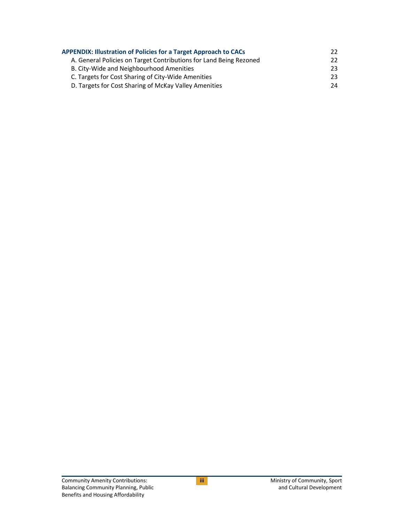| <b>APPENDIX: Illustration of Policies for a Target Approach to CACs</b> |     |  |
|-------------------------------------------------------------------------|-----|--|
| A. General Policies on Target Contributions for Land Being Rezoned      | 22. |  |
| B. City-Wide and Neighbourhood Amenities                                | 23. |  |
| C. Targets for Cost Sharing of City-Wide Amenities                      | 23. |  |
| D. Targets for Cost Sharing of McKay Valley Amenities                   | 24  |  |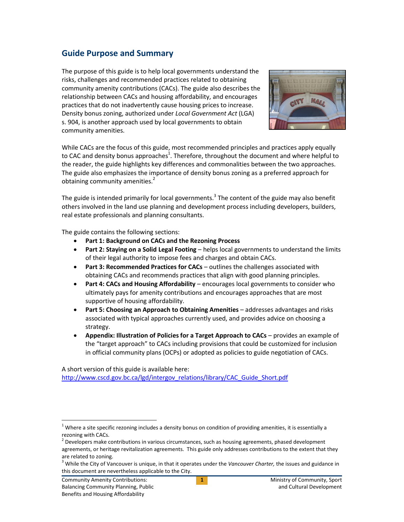## <span id="page-4-0"></span>**Guide Purpose and Summary**

The purpose of this guide is to help local governments understand the risks, challenges and recommended practices related to obtaining community amenity contributions (CACs). The guide also describes the relationship between CACs and housing affordability, and encourages practices that do not inadvertently cause housing prices to increase. Density bonus zoning, authorized under *Local Government Act* (LGA) s. 904, is another approach used by local governments to obtain community amenities.



While CACs are the focus of this guide, most recommended principles and practices apply equally to CAC and density bonus approaches<sup>1</sup>. Therefore, throughout the document and where helpful to the reader, the guide highlights key differences and commonalities between the two approaches. The guide also emphasizes the importance of density bonus zoning as a preferred approach for obtaining community amenities.<sup>2</sup>

The guide is intended primarily for local governments.<sup>3</sup> The content of the guide may also benefit others involved in the land use planning and development process including developers, builders, real estate professionals and planning consultants.

The guide contains the following sections:

- **Part 1: Background on CACs and the Rezoning Process**
- **Part 2: Staying on a Solid Legal Footing** helps local governments to understand the limits of their legal authority to impose fees and charges and obtain CACs.
- **Part 3: Recommended Practices for CACs** outlines the challenges associated with obtaining CACs and recommends practices that align with good planning principles.
- **Part 4: CACs and Housing Affordability**  encourages local governments to consider who ultimately pays for amenity contributions and encourages approaches that are most supportive of housing affordability.
- **Part 5: Choosing an Approach to Obtaining Amenities addresses advantages and risks** associated with typical approaches currently used, and provides advice on choosing a strategy.
- **Appendix: Illustration of Policies for a Target Approach to CACs** provides an example of the "target approach" to CACs including provisions that could be customized for inclusion in official community plans (OCPs) or adopted as policies to guide negotiation of CACs.

A short version of this guide is available here:

[http://www.cscd.gov.bc.ca/lgd/intergov\\_relations/library/CAC\\_Guide\\_Short.pdf](http://www.cscd.gov.bc.ca/lgd/intergov_relations/library/CAC_Guide_Short.pdf)

 $\overline{a}$ 

 $1$  Where a site specific rezoning includes a density bonus on condition of providing amenities, it is essentially a rezoning with CACs.

 $2$  Developers make contributions in various circumstances, such as housing agreements, phased development agreements, or heritage revitalization agreements. This guide only addresses contributions to the extent that they are related to zoning.

<sup>3</sup> While the City of Vancouver is unique, in that it operates under the *Vancouver Charter,* the issues and guidance in this document are nevertheless applicable to the City.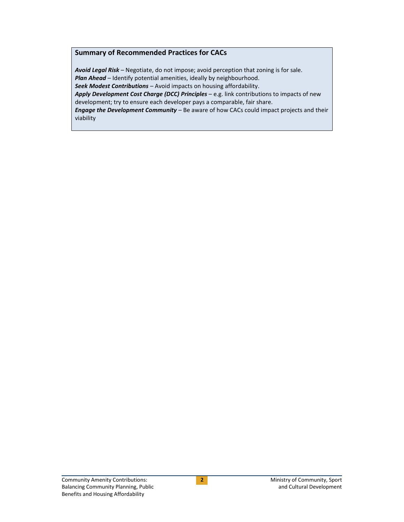#### <span id="page-5-0"></span>**Summary of Recommended Practices for CACs**

*Avoid Legal Risk* – Negotiate, do not impose; avoid perception that zoning is for sale. **Plan Ahead** – Identify potential amenities, ideally by neighbourhood. *Seek Modest Contributions* – Avoid impacts on housing affordability.

*Apply Development Cost Charge (DCC) Principles* – e.g. link contributions to impacts of new development; try to ensure each developer pays a comparable, fair share.

*Engage the Development Community* – Be aware of how CACs could impact projects and their viability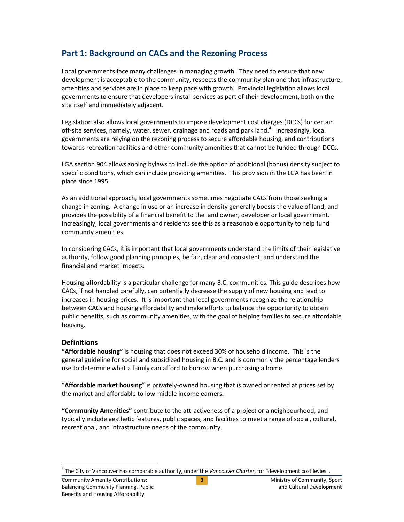# <span id="page-6-0"></span>**Part 1: Background on CACs and the Rezoning Process**

Local governments face many challenges in managing growth. They need to ensure that new development is acceptable to the community, respects the community plan and that infrastructure, amenities and services are in place to keep pace with growth. Provincial legislation allows local governments to ensure that developers install services as part of their development, both on the site itself and immediately adjacent.

Legislation also allows local governments to impose development cost charges (DCCs) for certain off-site services, namely, water, sewer, drainage and roads and park land. $4$  Increasingly, local governments are relying on the rezoning process to secure affordable housing, and contributions towards recreation facilities and other community amenities that cannot be funded through DCCs.

LGA section 904 allows zoning bylaws to include the option of additional (bonus) density subject to specific conditions, which can include providing amenities. This provision in the LGA has been in place since 1995.

As an additional approach, local governments sometimes negotiate CACs from those seeking a change in zoning. A change in use or an increase in density generally boosts the value of land, and provides the possibility of a financial benefit to the land owner, developer or local government. Increasingly, local governments and residents see this as a reasonable opportunity to help fund community amenities.

In considering CACs, it is important that local governments understand the limits of their legislative authority, follow good planning principles, be fair, clear and consistent, and understand the financial and market impacts.

Housing affordability is a particular challenge for many B.C. communities. This guide describes how CACs, if not handled carefully, can potentially decrease the supply of new housing and lead to increases in housing prices. It is important that local governments recognize the relationship between CACs and housing affordability and make efforts to balance the opportunity to obtain public benefits, such as community amenities, with the goal of helping families to secure affordable housing.

## <span id="page-6-1"></span>**Definitions**

**"Affordable housing"** is housing that does not exceed 30% of household income. This is the general guideline for social and subsidized housing in B.C. and is commonly the percentage lenders use to determine what a family can afford to borrow when purchasing a home.

"**Affordable market housing**" is privately-owned housing that is owned or rented at prices set by the market and affordable to low-middle income earners.

**"Community Amenities"** contribute to the attractiveness of a project or a neighbourhood, and typically include aesthetic features, public spaces, and facilities to meet a range of social, cultural, recreational, and infrastructure needs of the community.

 $\overline{a}$ 4 The City of Vancouver has comparable authority, under the *Vancouver Charter*, for "development cost levies".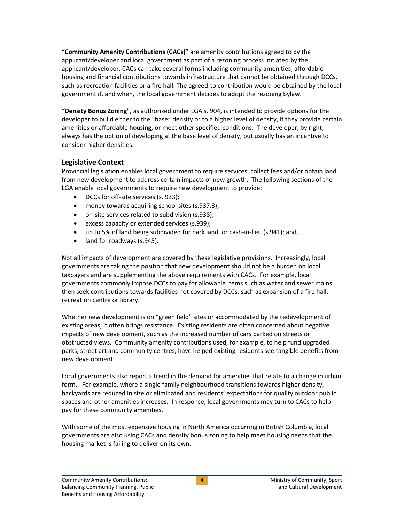**"Community Amenity Contributions (CACs)"** are amenity contributions agreed to by the applicant/developer and local government as part of a rezoning process initiated by the applicant/developer. CACs can take several forms including community amenities, affordable housing and financial contributions towards infrastructure that cannot be obtained through DCCs, such as recreation facilities or a fire hall. The agreed-to contribution would be obtained by the local government if, and when, the local government decides to adopt the rezoning bylaw.

**"Density Bonus Zoning**", as authorized under LGA s. 904, is intended to provide options for the developer to build either to the "base" density or to a higher level of density, if they provide certain amenities or affordable housing, or meet other specified conditions. The developer, by right, always has the option of developing at the base level of density, but usually has an incentive to consider higher densities.

## <span id="page-7-0"></span>**Legislative Context**

Provincial legislation enables local government to require services, collect fees and/or obtain land from new development to address certain impacts of new growth. The following sections of the LGA enable local governments to require new development to provide:

- DCCs for off-site services (s. 933);
- money towards acquiring school sites (s.937.3);
- on-site services related to subdivision (s.938);
- excess capacity or extended services (s.939);
- up to 5% of land being subdivided for park land, or cash-in-lieu (s.941); and,
- land for roadways (s.945).

Not all impacts of development are covered by these legislative provisions. Increasingly, local governments are taking the position that new development should not be a burden on local taxpayers and are supplementing the above requirements with CACs. For example, local governments commonly impose DCCs to pay for allowable items such as water and sewer mains then seek contributions towards facilities not covered by DCCs, such as expansion of a fire hall, recreation centre or library.

Whether new development is on "green field" sites or accommodated by the redevelopment of existing areas, it often brings resistance. Existing residents are often concerned about negative impacts of new development, such as the increased number of cars parked on streets or obstructed views. Community amenity contributions used, for example, to help fund upgraded parks, street art and community centres, have helped existing residents see tangible benefits from new development.

Local governments also report a trend in the demand for amenities that relate to a change in urban form. For example, where a single family neighbourhood transitions towards higher density, backyards are reduced in size or eliminated and residents' expectations for quality outdoor public spaces and other amenities increases. In response, local governments may turn to CACs to help pay for these community amenities.

With some of the most expensive housing in North America occurring in British Columbia, local governments are also using CACs and density bonus zoning to help meet housing needs that the housing market is failing to deliver on its own.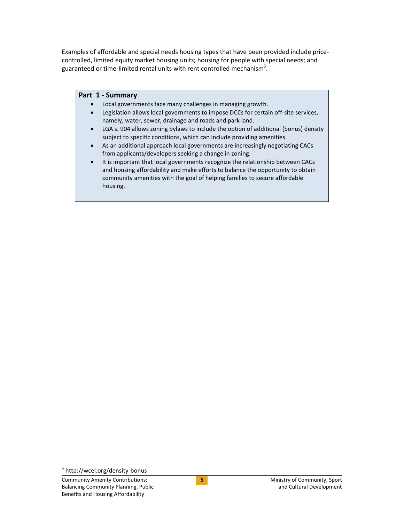Examples of affordable and special needs housing types that have been provided include pricecontrolled, limited equity market housing units; housing for people with special needs; and guaranteed or time-limited rental units with rent controlled mechanism $^{5}$ .

#### <span id="page-8-0"></span>**Part 1 - Summary**

- Local governments face many challenges in managing growth.
- Legislation allows local governments to impose DCCs for certain off-site services, namely, water, sewer, drainage and roads and park land.
- LGA s. 904 allows zoning bylaws to include the option of additional (bonus) density subject to specific conditions, which can include providing amenities.
- As an additional approach local governments are increasingly negotiating CACs from applicants/developers seeking a change in zoning.
- It is important that local governments recognize the relationship between CACs and housing affordability and make efforts to balance the opportunity to obtain community amenities with the goal of helping families to secure affordable housing.

 $\overline{a}$ 

<sup>&</sup>lt;sup>5</sup> http://wcel.org/density-bonus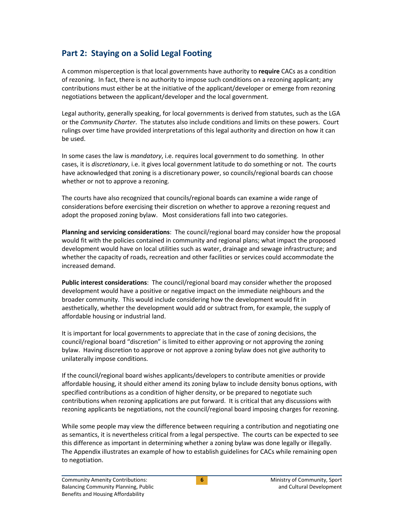# <span id="page-9-0"></span>**Part 2: Staying on a Solid Legal Footing**

A common misperception is that local governments have authority to **require** CACs as a condition of rezoning. In fact, there is no authority to impose such conditions on a rezoning applicant; any contributions must either be at the initiative of the applicant/developer or emerge from rezoning negotiations between the applicant/developer and the local government.

Legal authority, generally speaking, for local governments is derived from statutes, such as the LGA or the *Community Charter*. The statutes also include conditions and limits on these powers. Court rulings over time have provided interpretations of this legal authority and direction on how it can be used.

In some cases the law is *mandatory*, i.e. requires local government to do something. In other cases, it is *discretionary*, i.e. it gives local government latitude to do something or not. The courts have acknowledged that zoning is a discretionary power, so councils/regional boards can choose whether or not to approve a rezoning.

The courts have also recognized that councils/regional boards can examine a wide range of considerations before exercising their discretion on whether to approve a rezoning request and adopt the proposed zoning bylaw. Most considerations fall into two categories.

**Planning and servicing considerations**: The council/regional board may consider how the proposal would fit with the policies contained in community and regional plans; what impact the proposed development would have on local utilities such as water, drainage and sewage infrastructure; and whether the capacity of roads, recreation and other facilities or services could accommodate the increased demand.

**Public interest considerations**: The council/regional board may consider whether the proposed development would have a positive or negative impact on the immediate neighbours and the broader community. This would include considering how the development would fit in aesthetically, whether the development would add or subtract from, for example, the supply of affordable housing or industrial land.

It is important for local governments to appreciate that in the case of zoning decisions, the council/regional board "discretion" is limited to either approving or not approving the zoning bylaw. Having discretion to approve or not approve a zoning bylaw does not give authority to unilaterally impose conditions.

If the council/regional board wishes applicants/developers to contribute amenities or provide affordable housing, it should either amend its zoning bylaw to include density bonus options, with specified contributions as a condition of higher density, or be prepared to negotiate such contributions when rezoning applications are put forward. It is critical that any discussions with rezoning applicants be negotiations, not the council/regional board imposing charges for rezoning.

While some people may view the difference between requiring a contribution and negotiating one as semantics, it is nevertheless critical from a legal perspective. The courts can be expected to see this difference as important in determining whether a zoning bylaw was done legally or illegally. The Appendix illustrates an example of how to establish guidelines for CACs while remaining open to negotiation.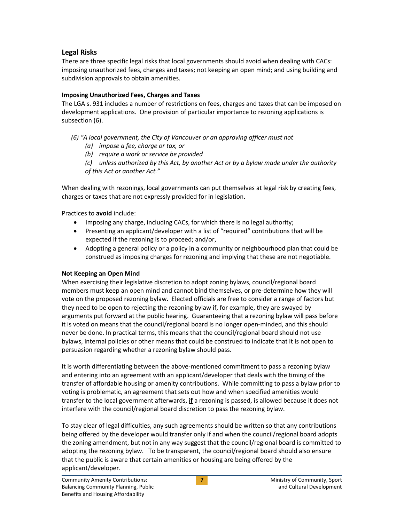## <span id="page-10-0"></span>**Legal Risks**

There are three specific legal risks that local governments should avoid when dealing with CACs: imposing unauthorized fees, charges and taxes; not keeping an open mind; and using building and subdivision approvals to obtain amenities.

## <span id="page-10-1"></span>**Imposing Unauthorized Fees, Charges and Taxes**

The LGA s. 931 includes a number of restrictions on fees, charges and taxes that can be imposed on development applications. One provision of particular importance to rezoning applications is subsection (6).

*(6) "A local government, the City of Vancouver or an approving officer must not*

- *(a) impose a fee, charge or tax, or*
- *(b) require a work or service be provided*

*(c) unless authorized by this Act, by another Act or by a bylaw made under the authority of this Act or another Act."*

When dealing with rezonings, local governments can put themselves at legal risk by creating fees, charges or taxes that are not expressly provided for in legislation.

Practices to **avoid** include:

- Imposing any charge, including CACs, for which there is no legal authority;
- Presenting an applicant/developer with a list of "required" contributions that will be expected if the rezoning is to proceed; and/or,
- Adopting a general policy or a policy in a community or neighbourhood plan that could be construed as imposing charges for rezoning and implying that these are not negotiable.

## <span id="page-10-2"></span>**Not Keeping an Open Mind**

When exercising their legislative discretion to adopt zoning bylaws, council/regional board members must keep an open mind and cannot bind themselves, or pre-determine how they will vote on the proposed rezoning bylaw. Elected officials are free to consider a range of factors but they need to be open to rejecting the rezoning bylaw if, for example, they are swayed by arguments put forward at the public hearing. Guaranteeing that a rezoning bylaw will pass before it is voted on means that the council/regional board is no longer open-minded, and this should never be done. In practical terms, this means that the council/regional board should not use bylaws, internal policies or other means that could be construed to indicate that it is not open to persuasion regarding whether a rezoning bylaw should pass.

It is worth differentiating between the above-mentioned commitment to pass a rezoning bylaw and entering into an agreement with an applicant/developer that deals with the timing of the transfer of affordable housing or amenity contributions. While committing to pass a bylaw prior to voting is problematic, an agreement that sets out how and when specified amenities would transfer to the local government afterwards, **if** a rezoning is passed, is allowed because it does not interfere with the council/regional board discretion to pass the rezoning bylaw.

To stay clear of legal difficulties, any such agreements should be written so that any contributions being offered by the developer would transfer only if and when the council/regional board adopts the zoning amendment, but not in any way suggest that the council/regional board is committed to adopting the rezoning bylaw. To be transparent, the council/regional board should also ensure that the public is aware that certain amenities or housing are being offered by the applicant/developer.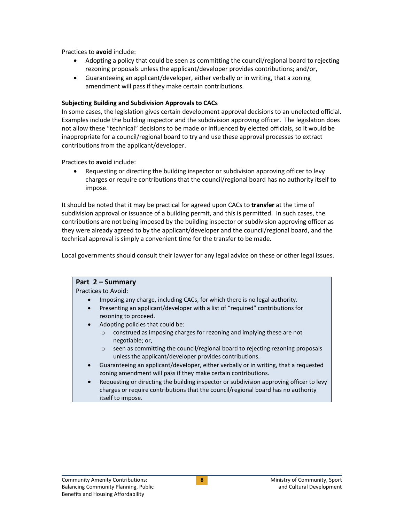Practices to **avoid** include:

- Adopting a policy that could be seen as committing the council/regional board to rejecting rezoning proposals unless the applicant/developer provides contributions; and/or,
- Guaranteeing an applicant/developer, either verbally or in writing, that a zoning amendment will pass if they make certain contributions.

#### <span id="page-11-0"></span>**Subjecting Building and Subdivision Approvals to CACs**

In some cases, the legislation gives certain development approval decisions to an unelected official. Examples include the building inspector and the subdivision approving officer. The legislation does not allow these "technical" decisions to be made or influenced by elected officials, so it would be inappropriate for a council/regional board to try and use these approval processes to extract contributions from the applicant/developer.

Practices to **avoid** include:

 Requesting or directing the building inspector or subdivision approving officer to levy charges or require contributions that the council/regional board has no authority itself to impose.

It should be noted that it may be practical for agreed upon CACs to **transfer** at the time of subdivision approval or issuance of a building permit, and this is permitted. In such cases, the contributions are not being imposed by the building inspector or subdivision approving officer as they were already agreed to by the applicant/developer and the council/regional board, and the technical approval is simply a convenient time for the transfer to be made.

Local governments should consult their lawyer for any legal advice on these or other legal issues.

#### <span id="page-11-1"></span>**Part 2 – Summary** Practices to Avoid: Imposing any charge, including CACs, for which there is no legal authority. Presenting an applicant/developer with a list of "required" contributions for rezoning to proceed. Adopting policies that could be: o construed as imposing charges for rezoning and implying these are not negotiable; or, o seen as committing the council/regional board to rejecting rezoning proposals unless the applicant/developer provides contributions. Guaranteeing an applicant/developer, either verbally or in writing, that a requested zoning amendment will pass if they make certain contributions.

 Requesting or directing the building inspector or subdivision approving officer to levy charges or require contributions that the council/regional board has no authority itself to impose.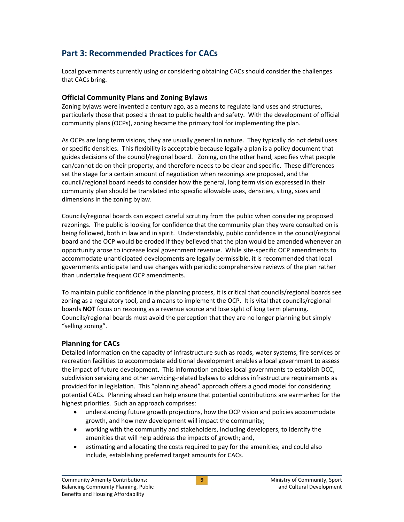# <span id="page-12-0"></span>**Part 3: Recommended Practices for CACs**

Local governments currently using or considering obtaining CACs should consider the challenges that CACs bring.

#### <span id="page-12-1"></span>**Official Community Plans and Zoning Bylaws**

Zoning bylaws were invented a century ago, as a means to regulate land uses and structures, particularly those that posed a threat to public health and safety. With the development of official community plans (OCPs), zoning became the primary tool for implementing the plan.

As OCPs are long term visions, they are usually general in nature. They typically do not detail uses or specific densities. This flexibility is acceptable because legally a plan is a policy document that guides decisions of the council/regional board. Zoning, on the other hand, specifies what people can/cannot do on their property, and therefore needs to be clear and specific. These differences set the stage for a certain amount of negotiation when rezonings are proposed, and the council/regional board needs to consider how the general, long term vision expressed in their community plan should be translated into specific allowable uses, densities, siting, sizes and dimensions in the zoning bylaw.

Councils/regional boards can expect careful scrutiny from the public when considering proposed rezonings. The public is looking for confidence that the community plan they were consulted on is being followed, both in law and in spirit. Understandably, public confidence in the council/regional board and the OCP would be eroded if they believed that the plan would be amended whenever an opportunity arose to increase local government revenue. While site-specific OCP amendments to accommodate unanticipated developments are legally permissible, it is recommended that local governments anticipate land use changes with periodic comprehensive reviews of the plan rather than undertake frequent OCP amendments.

To maintain public confidence in the planning process, it is critical that councils/regional boards see zoning as a regulatory tool, and a means to implement the OCP. It is vital that councils/regional boards **NOT** focus on rezoning as a revenue source and lose sight of long term planning. Councils/regional boards must avoid the perception that they are no longer planning but simply "selling zoning".

## <span id="page-12-2"></span>**Planning for CACs**

Detailed information on the capacity of infrastructure such as roads, water systems, fire services or recreation facilities to accommodate additional development enables a local government to assess the impact of future development. This information enables local governments to establish DCC, subdivision servicing and other servicing-related bylaws to address infrastructure requirements as provided for in legislation. This "planning ahead" approach offers a good model for considering potential CACs. Planning ahead can help ensure that potential contributions are earmarked for the highest priorities. Such an approach comprises:

- understanding future growth projections, how the OCP vision and policies accommodate growth, and how new development will impact the community;
- working with the community and stakeholders, including developers, to identify the amenities that will help address the impacts of growth; and,
- estimating and allocating the costs required to pay for the amenities; and could also include, establishing preferred target amounts for CACs.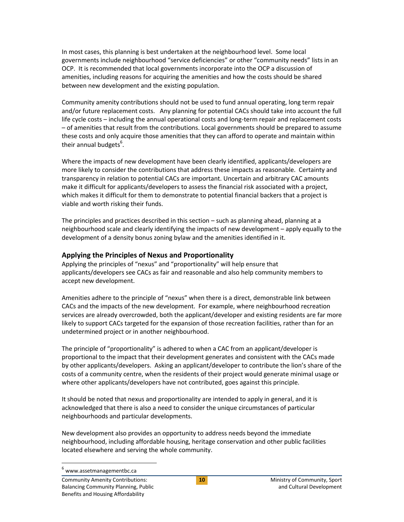In most cases, this planning is best undertaken at the neighbourhood level. Some local governments include neighbourhood "service deficiencies" or other "community needs" lists in an OCP. It is recommended that local governments incorporate into the OCP a discussion of amenities, including reasons for acquiring the amenities and how the costs should be shared between new development and the existing population.

Community amenity contributions should not be used to fund annual operating, long term repair and/or future replacement costs. Any planning for potential CACs should take into account the full life cycle costs – including the annual operational costs and long-term repair and replacement costs – of amenities that result from the contributions. Local governments should be prepared to assume these costs and only acquire those amenities that they can afford to operate and maintain within their annual budgets<sup>6</sup>.

Where the impacts of new development have been clearly identified, applicants/developers are more likely to consider the contributions that address these impacts as reasonable. Certainty and transparency in relation to potential CACs are important. Uncertain and arbitrary CAC amounts make it difficult for applicants/developers to assess the financial risk associated with a project, which makes it difficult for them to demonstrate to potential financial backers that a project is viable and worth risking their funds.

The principles and practices described in this section – such as planning ahead, planning at a neighbourhood scale and clearly identifying the impacts of new development – apply equally to the development of a density bonus zoning bylaw and the amenities identified in it.

## <span id="page-13-0"></span>**Applying the Principles of Nexus and Proportionality**

Applying the principles of "nexus" and "proportionality" will help ensure that applicants/developers see CACs as fair and reasonable and also help community members to accept new development.

Amenities adhere to the principle of "nexus" when there is a direct, demonstrable link between CACs and the impacts of the new development. For example, where neighbourhood recreation services are already overcrowded, both the applicant/developer and existing residents are far more likely to support CACs targeted for the expansion of those recreation facilities, rather than for an undetermined project or in another neighbourhood.

The principle of "proportionality" is adhered to when a CAC from an applicant/developer is proportional to the impact that their development generates and consistent with the CACs made by other applicants/developers. Asking an applicant/developer to contribute the lion's share of the costs of a community centre, when the residents of their project would generate minimal usage or where other applicants/developers have not contributed, goes against this principle.

It should be noted that nexus and proportionality are intended to apply in general, and it is acknowledged that there is also a need to consider the unique circumstances of particular neighbourhoods and particular developments.

New development also provides an opportunity to address needs beyond the immediate neighbourhood, including affordable housing, heritage conservation and other public facilities located elsewhere and serving the whole community.

 $\overline{a}$ 

<sup>6</sup> www.assetmanagementbc.ca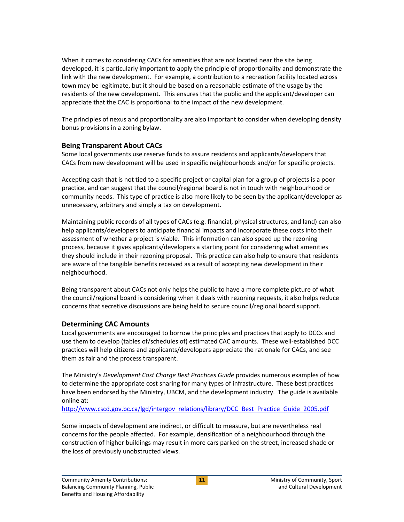When it comes to considering CACs for amenities that are not located near the site being developed, it is particularly important to apply the principle of proportionality and demonstrate the link with the new development. For example, a contribution to a recreation facility located across town may be legitimate, but it should be based on a reasonable estimate of the usage by the residents of the new development. This ensures that the public and the applicant/developer can appreciate that the CAC is proportional to the impact of the new development.

The principles of nexus and proportionality are also important to consider when developing density bonus provisions in a zoning bylaw.

## <span id="page-14-0"></span>**Being Transparent About CACs**

Some local governments use reserve funds to assure residents and applicants/developers that CACs from new development will be used in specific neighbourhoods and/or for specific projects.

Accepting cash that is not tied to a specific project or capital plan for a group of projects is a poor practice, and can suggest that the council/regional board is not in touch with neighbourhood or community needs. This type of practice is also more likely to be seen by the applicant/developer as unnecessary, arbitrary and simply a tax on development.

Maintaining public records of all types of CACs (e.g. financial, physical structures, and land) can also help applicants/developers to anticipate financial impacts and incorporate these costs into their assessment of whether a project is viable. This information can also speed up the rezoning process, because it gives applicants/developers a starting point for considering what amenities they should include in their rezoning proposal. This practice can also help to ensure that residents are aware of the tangible benefits received as a result of accepting new development in their neighbourhood.

Being transparent about CACs not only helps the public to have a more complete picture of what the council/regional board is considering when it deals with rezoning requests, it also helps reduce concerns that secretive discussions are being held to secure council/regional board support.

## <span id="page-14-1"></span>**Determining CAC Amounts**

Local governments are encouraged to borrow the principles and practices that apply to DCCs and use them to develop (tables of/schedules of) estimated CAC amounts. These well-established DCC practices will help citizens and applicants/developers appreciate the rationale for CACs, and see them as fair and the process transparent.

The Ministry's *Development Cost Charge Best Practices Guide* provides numerous examples of how to determine the appropriate cost sharing for many types of infrastructure. These best practices have been endorsed by the Ministry, UBCM, and the development industry. The guide is available online at:

[http://www.cscd.gov.bc.ca/lgd/intergov\\_relations/library/DCC\\_Best\\_Practice\\_Guide\\_2005.pdf](http://www.cscd.gov.bc.ca/lgd/intergov_relations/library/DCC_Best_Practice_Guide_2005.pdf)

Some impacts of development are indirect, or difficult to measure, but are nevertheless real concerns for the people affected. For example, densification of a neighbourhood through the construction of higher buildings may result in more cars parked on the street, increased shade or the loss of previously unobstructed views.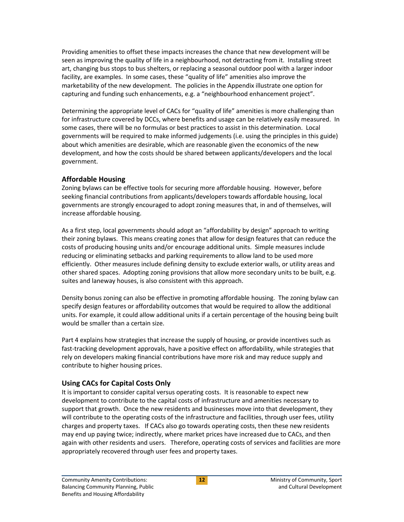Providing amenities to offset these impacts increases the chance that new development will be seen as improving the quality of life in a neighbourhood, not detracting from it. Installing street art, changing bus stops to bus shelters, or replacing a seasonal outdoor pool with a larger indoor facility, are examples. In some cases, these "quality of life" amenities also improve the marketability of the new development. The policies in the Appendix illustrate one option for capturing and funding such enhancements, e.g. a "neighbourhood enhancement project".

Determining the appropriate level of CACs for "quality of life" amenities is more challenging than for infrastructure covered by DCCs, where benefits and usage can be relatively easily measured. In some cases, there will be no formulas or best practices to assist in this determination. Local governments will be required to make informed judgements (i.e. using the principles in this guide) about which amenities are desirable, which are reasonable given the economics of the new development, and how the costs should be shared between applicants/developers and the local government.

## <span id="page-15-0"></span>**Affordable Housing**

Zoning bylaws can be effective tools for securing more affordable housing. However, before seeking financial contributions from applicants/developers towards affordable housing, local governments are strongly encouraged to adopt zoning measures that, in and of themselves, will increase affordable housing.

As a first step, local governments should adopt an "affordability by design" approach to writing their zoning bylaws. This means creating zones that allow for design features that can reduce the costs of producing housing units and/or encourage additional units. Simple measures include reducing or eliminating setbacks and parking requirements to allow land to be used more efficiently. Other measures include defining density to exclude exterior walls, or utility areas and other shared spaces. Adopting zoning provisions that allow more secondary units to be built, e.g. suites and laneway houses, is also consistent with this approach.

Density bonus zoning can also be effective in promoting affordable housing. The zoning bylaw can specify design features or affordability outcomes that would be required to allow the additional units. For example, it could allow additional units if a certain percentage of the housing being built would be smaller than a certain size.

Part 4 explains how strategies that increase the supply of housing, or provide incentives such as fast-tracking development approvals, have a positive effect on affordability, while strategies that rely on developers making financial contributions have more risk and may reduce supply and contribute to higher housing prices.

## <span id="page-15-1"></span>**Using CACs for Capital Costs Only**

It is important to consider capital versus operating costs. It is reasonable to expect new development to contribute to the capital costs of infrastructure and amenities necessary to support that growth. Once the new residents and businesses move into that development, they will contribute to the operating costs of the infrastructure and facilities, through user fees, utility charges and property taxes. If CACs also go towards operating costs, then these new residents may end up paying twice; indirectly, where market prices have increased due to CACs, and then again with other residents and users. Therefore, operating costs of services and facilities are more appropriately recovered through user fees and property taxes.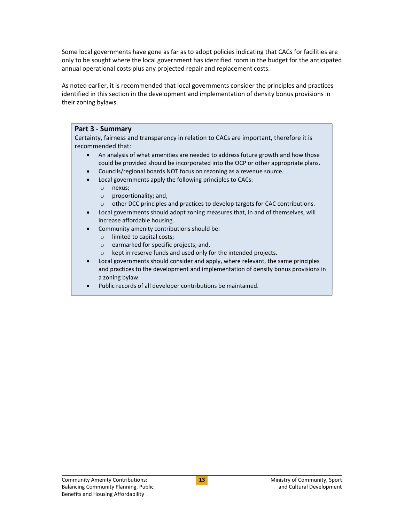Some local governments have gone as far as to adopt policies indicating that CACs for facilities are only to be sought where the local government has identified room in the budget for the anticipated annual operational costs plus any projected repair and replacement costs.

As noted earlier, it is recommended that local governments consider the principles and practices identified in this section in the development and implementation of density bonus provisions in their zoning bylaws.

#### <span id="page-16-0"></span>**Part 3 - Summary**

Certainty, fairness and transparency in relation to CACs are important, therefore it is recommended that:

- An analysis of what amenities are needed to address future growth and how those could be provided should be incorporated into the OCP or other appropriate plans.
- Councils/regional boards NOT focus on rezoning as a revenue source.
- Local governments apply the following principles to CACs:
	- o nexus;
	- o proportionality; and,
	- o other DCC principles and practices to develop targets for CAC contributions.
- Local governments should adopt zoning measures that, in and of themselves, will increase affordable housing.
- Community amenity contributions should be:
	- o limited to capital costs;
	- o earmarked for specific projects; and,
	- o kept in reserve funds and used only for the intended projects.
- Local governments should consider and apply, where relevant, the same principles and practices to the development and implementation of density bonus provisions in a zoning bylaw.
- Public records of all developer contributions be maintained.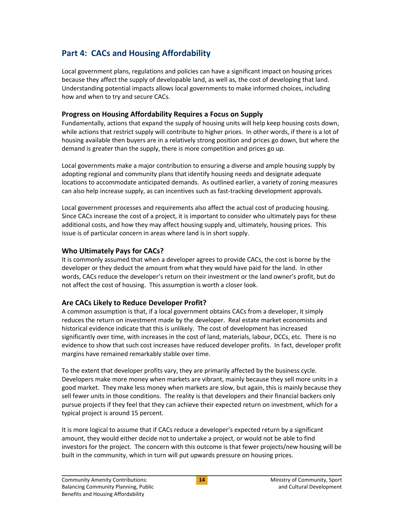# <span id="page-17-0"></span>**Part 4: CACs and Housing Affordability**

Local government plans, regulations and policies can have a significant impact on housing prices because they affect the supply of developable land, as well as, the cost of developing that land. Understanding potential impacts allows local governments to make informed choices, including how and when to try and secure CACs.

## <span id="page-17-1"></span>**Progress on Housing Affordability Requires a Focus on Supply**

Fundamentally, actions that expand the supply of housing units will help keep housing costs down, while actions that restrict supply will contribute to higher prices. In other words, if there is a lot of housing available then buyers are in a relatively strong position and prices go down, but where the demand is greater than the supply, there is more competition and prices go up.

Local governments make a major contribution to ensuring a diverse and ample housing supply by adopting regional and community plans that identify housing needs and designate adequate locations to accommodate anticipated demands. As outlined earlier, a variety of zoning measures can also help increase supply, as can incentives such as fast-tracking development approvals.

Local government processes and requirements also affect the actual cost of producing housing. Since CACs increase the cost of a project, it is important to consider who ultimately pays for these additional costs, and how they may affect housing supply and, ultimately, housing prices. This issue is of particular concern in areas where land is in short supply.

## <span id="page-17-2"></span>**Who Ultimately Pays for CACs?**

It is commonly assumed that when a developer agrees to provide CACs, the cost is borne by the developer or they deduct the amount from what they would have paid for the land. In other words, CACs reduce the developer's return on their investment or the land owner's profit, but do not affect the cost of housing. This assumption is worth a closer look.

## <span id="page-17-3"></span>**Are CACs Likely to Reduce Developer Profit?**

A common assumption is that, if a local government obtains CACs from a developer, it simply reduces the return on investment made by the developer. Real estate market economists and historical evidence indicate that this is unlikely. The cost of development has increased significantly over time, with increases in the cost of land, materials, labour, DCCs, etc. There is no evidence to show that such cost increases have reduced developer profits. In fact, developer profit margins have remained remarkably stable over time.

To the extent that developer profits vary, they are primarily affected by the business cycle. Developers make more money when markets are vibrant, mainly because they sell more units in a good market. They make less money when markets are slow, but again, this is mainly because they sell fewer units in those conditions. The reality is that developers and their financial backers only pursue projects if they feel that they can achieve their expected return on investment, which for a typical project is around 15 percent.

It is more logical to assume that if CACs reduce a developer's expected return by a significant amount, they would either decide not to undertake a project, or would not be able to find investors for the project. The concern with this outcome is that fewer projects/new housing will be built in the community, which in turn will put upwards pressure on housing prices.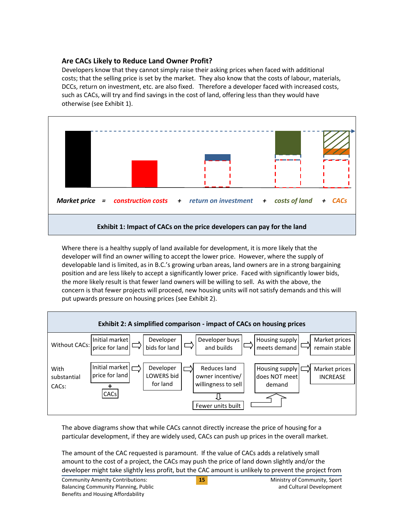## <span id="page-18-0"></span>**Are CACs Likely to Reduce Land Owner Profit?**

Developers know that they cannot simply raise their asking prices when faced with additional costs; that the selling price is set by the market. They also know that the costs of labour, materials, DCCs, return on investment, etc. are also fixed. Therefore a developer faced with increased costs, such as CACs, will try and find savings in the cost of land, offering less than they would have otherwise (see Exhibit 1).



Where there is a healthy supply of land available for development, it is more likely that the developer will find an owner willing to accept the lower price. However, where the supply of developable land is limited, as in B.C.'s growing urban areas, land owners are in a strong bargaining position and are less likely to accept a significantly lower price. Faced with significantly lower bids, the more likely result is that fewer land owners will be willing to sell. As with the above, the concern is that fewer projects will proceed, new housing units will not satisfy demands and this will put upwards pressure on housing prices (see Exhibit 2).



The above diagrams show that while CACs cannot directly increase the price of housing for a particular development, if they are widely used, CACs can push up prices in the overall market.

The amount of the CAC requested is paramount. If the value of CACs adds a relatively small amount to the cost of a project, the CACs may push the price of land down slightly and/or the developer might take slightly less profit, but the CAC amount is unlikely to prevent the project from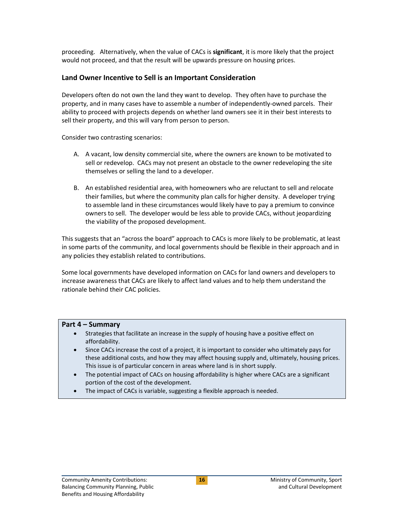proceeding. Alternatively, when the value of CACs is **significant**, it is more likely that the project would not proceed, and that the result will be upwards pressure on housing prices.

### <span id="page-19-0"></span>**Land Owner Incentive to Sell is an Important Consideration**

Developers often do not own the land they want to develop. They often have to purchase the property, and in many cases have to assemble a number of independently-owned parcels. Their ability to proceed with projects depends on whether land owners see it in their best interests to sell their property, and this will vary from person to person.

Consider two contrasting scenarios:

- A. A vacant, low density commercial site, where the owners are known to be motivated to sell or redevelop. CACs may not present an obstacle to the owner redeveloping the site themselves or selling the land to a developer.
- B. An established residential area, with homeowners who are reluctant to sell and relocate their families, but where the community plan calls for higher density. A developer trying to assemble land in these circumstances would likely have to pay a premium to convince owners to sell. The developer would be less able to provide CACs, without jeopardizing the viability of the proposed development.

This suggests that an "across the board" approach to CACs is more likely to be problematic, at least in some parts of the community, and local governments should be flexible in their approach and in any policies they establish related to contributions.

Some local governments have developed information on CACs for land owners and developers to increase awareness that CACs are likely to affect land values and to help them understand the rationale behind their CAC policies.

#### <span id="page-19-1"></span>**Part 4 – Summary**

- Strategies that facilitate an increase in the supply of housing have a positive effect on affordability.
- Since CACs increase the cost of a project, it is important to consider who ultimately pays for these additional costs, and how they may affect housing supply and, ultimately, housing prices. This issue is of particular concern in areas where land is in short supply.
- The potential impact of CACs on housing affordability is higher where CACs are a significant portion of the cost of the development.
- The impact of CACs is variable, suggesting a flexible approach is needed.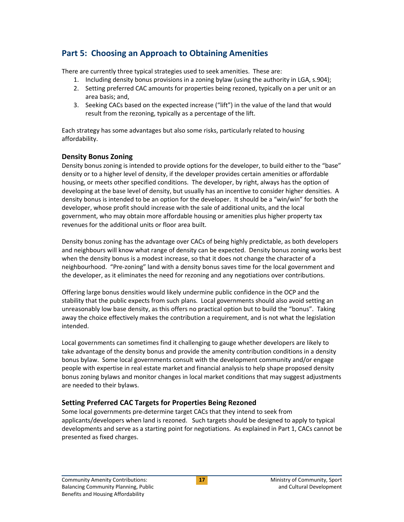# <span id="page-20-0"></span>**Part 5: Choosing an Approach to Obtaining Amenities**

There are currently three typical strategies used to seek amenities. These are:

- 1. Including density bonus provisions in a zoning bylaw (using the authority in LGA, s.904);
- 2. Setting preferred CAC amounts for properties being rezoned, typically on a per unit or an area basis; and,
- 3. Seeking CACs based on the expected increase ("lift") in the value of the land that would result from the rezoning, typically as a percentage of the lift.

Each strategy has some advantages but also some risks, particularly related to housing affordability.

## <span id="page-20-1"></span>**Density Bonus Zoning**

Density bonus zoning is intended to provide options for the developer, to build either to the "base" density or to a higher level of density, if the developer provides certain amenities or affordable housing, or meets other specified conditions. The developer, by right, always has the option of developing at the base level of density, but usually has an incentive to consider higher densities. A density bonus is intended to be an option for the developer. It should be a "win/win" for both the developer, whose profit should increase with the sale of additional units, and the local government, who may obtain more affordable housing or amenities plus higher property tax revenues for the additional units or floor area built.

Density bonus zoning has the advantage over CACs of being highly predictable, as both developers and neighbours will know what range of density can be expected. Density bonus zoning works best when the density bonus is a modest increase, so that it does not change the character of a neighbourhood. "Pre-zoning" land with a density bonus saves time for the local government and the developer, as it eliminates the need for rezoning and any negotiations over contributions.

Offering large bonus densities would likely undermine public confidence in the OCP and the stability that the public expects from such plans. Local governments should also avoid setting an unreasonably low base density, as this offers no practical option but to build the "bonus". Taking away the choice effectively makes the contribution a requirement, and is not what the legislation intended.

Local governments can sometimes find it challenging to gauge whether developers are likely to take advantage of the density bonus and provide the amenity contribution conditions in a density bonus bylaw. Some local governments consult with the development community and/or engage people with expertise in real estate market and financial analysis to help shape proposed density bonus zoning bylaws and monitor changes in local market conditions that may suggest adjustments are needed to their bylaws.

## <span id="page-20-2"></span>**Setting Preferred CAC Targets for Properties Being Rezoned**

Some local governments pre-determine target CACs that they intend to seek from applicants/developers when land is rezoned. Such targets should be designed to apply to typical developments and serve as a starting point for negotiations. As explained in Part 1, CACs cannot be presented as fixed charges.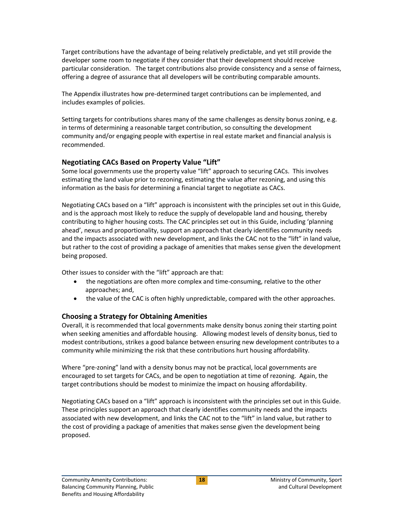Target contributions have the advantage of being relatively predictable, and yet still provide the developer some room to negotiate if they consider that their development should receive particular consideration. The target contributions also provide consistency and a sense of fairness, offering a degree of assurance that all developers will be contributing comparable amounts.

The Appendix illustrates how pre-determined target contributions can be implemented, and includes examples of policies.

Setting targets for contributions shares many of the same challenges as density bonus zoning, e.g. in terms of determining a reasonable target contribution, so consulting the development community and/or engaging people with expertise in real estate market and financial analysis is recommended.

## <span id="page-21-0"></span>**Negotiating CACs Based on Property Value "Lift"**

Some local governments use the property value "lift" approach to securing CACs. This involves estimating the land value prior to rezoning, estimating the value after rezoning, and using this information as the basis for determining a financial target to negotiate as CACs.

Negotiating CACs based on a "lift" approach is inconsistent with the principles set out in this Guide, and is the approach most likely to reduce the supply of developable land and housing, thereby contributing to higher housing costs. The CAC principles set out in this Guide, including 'planning ahead', nexus and proportionality, support an approach that clearly identifies community needs and the impacts associated with new development, and links the CAC not to the "lift" in land value, but rather to the cost of providing a package of amenities that makes sense given the development being proposed.

Other issues to consider with the "lift" approach are that:

- the negotiations are often more complex and time-consuming, relative to the other approaches; and,
- the value of the CAC is often highly unpredictable, compared with the other approaches.

## <span id="page-21-1"></span>**Choosing a Strategy for Obtaining Amenities**

Overall, it is recommended that local governments make density bonus zoning their starting point when seeking amenities and affordable housing. Allowing modest levels of density bonus, tied to modest contributions, strikes a good balance between ensuring new development contributes to a community while minimizing the risk that these contributions hurt housing affordability.

Where "pre-zoning" land with a density bonus may not be practical, local governments are encouraged to set targets for CACs, and be open to negotiation at time of rezoning. Again, the target contributions should be modest to minimize the impact on housing affordability.

Negotiating CACs based on a "lift" approach is inconsistent with the principles set out in this Guide. These principles support an approach that clearly identifies community needs and the impacts associated with new development, and links the CAC not to the "lift" in land value, but rather to the cost of providing a package of amenities that makes sense given the development being proposed.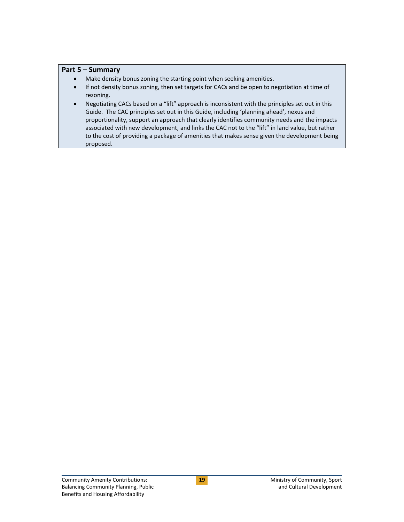#### <span id="page-22-0"></span>**Part 5 – Summary**

- Make density bonus zoning the starting point when seeking amenities.
- If not density bonus zoning, then set targets for CACs and be open to negotiation at time of rezoning.
- Negotiating CACs based on a "lift" approach is inconsistent with the principles set out in this Guide. The CAC principles set out in this Guide, including 'planning ahead', nexus and proportionality, support an approach that clearly identifies community needs and the impacts associated with new development, and links the CAC not to the "lift" in land value, but rather to the cost of providing a package of amenities that makes sense given the development being proposed.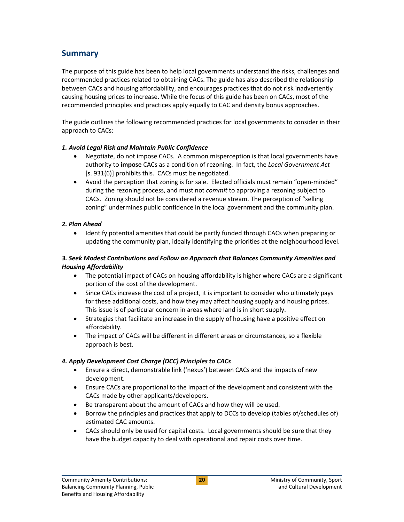# <span id="page-23-0"></span>**Summary**

The purpose of this guide has been to help local governments understand the risks, challenges and recommended practices related to obtaining CACs. The guide has also described the relationship between CACs and housing affordability, and encourages practices that do not risk inadvertently causing housing prices to increase. While the focus of this guide has been on CACs, most of the recommended principles and practices apply equally to CAC and density bonus approaches.

The guide outlines the following recommended practices for local governments to consider in their approach to CACs:

#### *1. Avoid Legal Risk and Maintain Public Confidence*

- Negotiate, do not impose CACs. A common misperception is that local governments have authority to **impose** CACs as a condition of rezoning. In fact, the *Local Government Act* [s. 931(6)] prohibits this. CACs must be negotiated.
- Avoid the perception that zoning is for sale. Elected officials must remain "open-minded" during the rezoning process, and must not *commit* to approving a rezoning subject to CACs. Zoning should not be considered a revenue stream. The perception of "selling zoning" undermines public confidence in the local government and the community plan.

#### *2. Plan Ahead*

 Identify potential amenities that could be partly funded through CACs when preparing or updating the community plan, ideally identifying the priorities at the neighbourhood level.

#### *3. Seek Modest Contributions and Follow an Approach that Balances Community Amenities and Housing Affordability*

- The potential impact of CACs on housing affordability is higher where CACs are a significant portion of the cost of the development.
- Since CACs increase the cost of a project, it is important to consider who ultimately pays for these additional costs, and how they may affect housing supply and housing prices. This issue is of particular concern in areas where land is in short supply.
- Strategies that facilitate an increase in the supply of housing have a positive effect on affordability.
- The impact of CACs will be different in different areas or circumstances, so a flexible approach is best.

#### *4. Apply Development Cost Charge (DCC) Principles to CACs*

- Ensure a direct, demonstrable link ('nexus') between CACs and the impacts of new development.
- Ensure CACs are proportional to the impact of the development and consistent with the CACs made by other applicants/developers.
- Be transparent about the amount of CACs and how they will be used.
- **•** Borrow the principles and practices that apply to DCCs to develop (tables of/schedules of) estimated CAC amounts.
- CACs should only be used for capital costs. Local governments should be sure that they have the budget capacity to deal with operational and repair costs over time.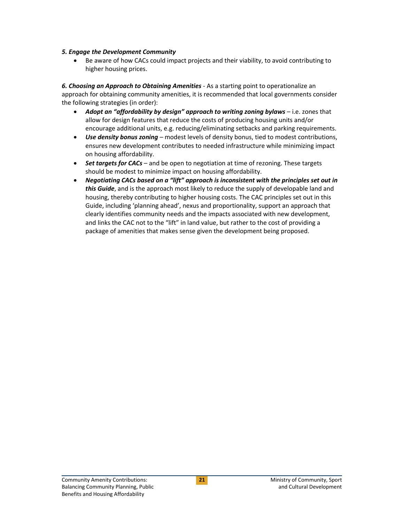#### *5. Engage the Development Community*

 Be aware of how CACs could impact projects and their viability, to avoid contributing to higher housing prices.

*6. Choosing an Approach to Obtaining Amenities* - As a starting point to operationalize an approach for obtaining community amenities, it is recommended that local governments consider the following strategies (in order):

- *Adopt an "affordability by design" approach to writing zoning bylaws* i.e. zones that allow for design features that reduce the costs of producing housing units and/or encourage additional units, e.g. reducing/eliminating setbacks and parking requirements.
- *Use density bonus zoning –* modest levels of density bonus, tied to modest contributions, ensures new development contributes to needed infrastructure while minimizing impact on housing affordability.
- *Set targets for CACs*  and be open to negotiation at time of rezoning. These targets should be modest to minimize impact on housing affordability.
- *Negotiating CACs based on a "lift" approach is inconsistent with the principles set out in this Guide*, and is the approach most likely to reduce the supply of developable land and housing, thereby contributing to higher housing costs. The CAC principles set out in this Guide, including 'planning ahead', nexus and proportionality, support an approach that clearly identifies community needs and the impacts associated with new development, and links the CAC not to the "lift" in land value, but rather to the cost of providing a package of amenities that makes sense given the development being proposed.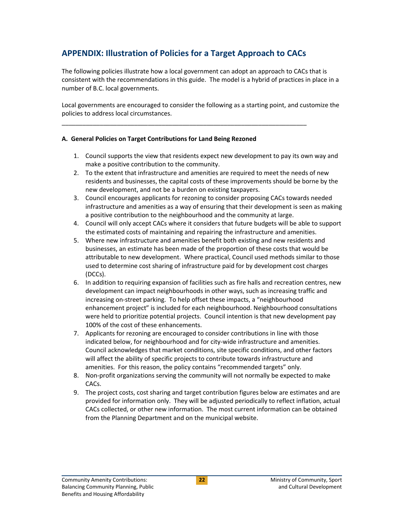# <span id="page-25-0"></span>**APPENDIX: Illustration of Policies for a Target Approach to CACs**

<span id="page-25-1"></span>\_\_\_\_\_\_\_\_\_\_\_\_\_\_\_\_\_\_\_\_\_\_\_\_\_\_\_\_\_\_\_\_\_\_\_\_\_\_\_\_\_\_\_\_\_\_\_\_\_\_\_\_\_\_\_\_\_\_\_\_\_\_\_\_\_\_\_\_\_\_\_

The following policies illustrate how a local government can adopt an approach to CACs that is consistent with the recommendations in this guide. The model is a hybrid of practices in place in a number of B.C. local governments.

Local governments are encouraged to consider the following as a starting point, and customize the policies to address local circumstances.

#### **A. General Policies on Target Contributions for Land Being Rezoned**

- 1. Council supports the view that residents expect new development to pay its own way and make a positive contribution to the community.
- 2. To the extent that infrastructure and amenities are required to meet the needs of new residents and businesses, the capital costs of these improvements should be borne by the new development, and not be a burden on existing taxpayers.
- 3. Council encourages applicants for rezoning to consider proposing CACs towards needed infrastructure and amenities as a way of ensuring that their development is seen as making a positive contribution to the neighbourhood and the community at large.
- 4. Council will only accept CACs where it considers that future budgets will be able to support the estimated costs of maintaining and repairing the infrastructure and amenities.
- 5. Where new infrastructure and amenities benefit both existing and new residents and businesses, an estimate has been made of the proportion of these costs that would be attributable to new development. Where practical, Council used methods similar to those used to determine cost sharing of infrastructure paid for by development cost charges (DCCs).
- 6. In addition to requiring expansion of facilities such as fire halls and recreation centres, new development can impact neighbourhoods in other ways, such as increasing traffic and increasing on-street parking. To help offset these impacts, a "neighbourhood enhancement project" is included for each neighbourhood. Neighbourhood consultations were held to prioritize potential projects. Council intention is that new development pay 100% of the cost of these enhancements.
- 7. Applicants for rezoning are encouraged to consider contributions in line with those indicated below, for neighbourhood and for city-wide infrastructure and amenities. Council acknowledges that market conditions, site specific conditions, and other factors will affect the ability of specific projects to contribute towards infrastructure and amenities. For this reason, the policy contains "recommended targets" only.
- 8. Non-profit organizations serving the community will not normally be expected to make CACs.
- 9. The project costs, cost sharing and target contribution figures below are estimates and are provided for information only. They will be adjusted periodically to reflect inflation, actual CACs collected, or other new information. The most current information can be obtained from the Planning Department and on the municipal website.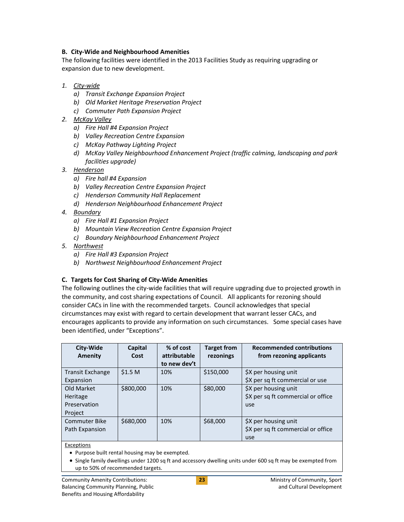#### <span id="page-26-0"></span>**B. City-Wide and Neighbourhood Amenities**

The following facilities were identified in the 2013 Facilities Study as requiring upgrading or expansion due to new development.

#### *1. City-wide*

- *a) Transit Exchange Expansion Project*
- *b) Old Market Heritage Preservation Project*
- *c) Commuter Path Expansion Project*
- *2. McKay Valley*
	- *a) Fire Hall #4 Expansion Project*
	- *b) Valley Recreation Centre Expansion*
	- *c) McKay Pathway Lighting Project*
	- *d) McKay Valley Neighbourhood Enhancement Project (traffic calming, landscaping and park facilities upgrade)*
- *3. Henderson*
	- *a) Fire hall #4 Expansion*
	- *b) Valley Recreation Centre Expansion Project*
	- *c) Henderson Community Hall Replacement*
	- *d) Henderson Neighbourhood Enhancement Project*
- *4. Boundary*
	- *a) Fire Hall #1 Expansion Project*
	- *b) Mountain View Recreation Centre Expansion Project*
	- *c) Boundary Neighbourhood Enhancement Project*
- *5. Northwest*
	- *a) Fire Hall #3 Expansion Project*
	- *b) Northwest Neighbourhood Enhancement Project*

## <span id="page-26-1"></span>**C. Targets for Cost Sharing of City-Wide Amenities**

The following outlines the city-wide facilities that will require upgrading due to projected growth in the community, and cost sharing expectations of Council. All applicants for rezoning should consider CACs in line with the recommended targets. Council acknowledges that special circumstances may exist with regard to certain development that warrant lesser CACs, and encourages applicants to provide any information on such circumstances. Some special cases have been identified, under "Exceptions".

| City-Wide<br>Amenity                                     | Capital<br>Cost    | % of cost<br>attributable<br>to new dev't | <b>Target from</b><br>rezonings | <b>Recommended contributions</b><br>from rezoning applicants      |
|----------------------------------------------------------|--------------------|-------------------------------------------|---------------------------------|-------------------------------------------------------------------|
| <b>Transit Exchange</b><br>Expansion                     | \$1.5 <sub>M</sub> | 10%                                       | \$150,000                       | \$X per housing unit<br>\$X per sq ft commercial or use           |
| Old Market<br><b>Heritage</b><br>Preservation<br>Project | \$800,000          | 10%                                       | \$80,000                        | \$X per housing unit<br>\$X per sq ft commercial or office<br>use |
| <b>Commuter Bike</b><br>Path Expansion                   | \$680,000          | 10%                                       | \$68,000                        | \$X per housing unit<br>\$X per sq ft commercial or office<br>use |

#### Exceptions

• Purpose built rental housing may be exempted.

• Single family dwellings under 1200 sq ft and accessory dwelling units under 600 sq ft may be exempted from up to 50% of recommended targets.